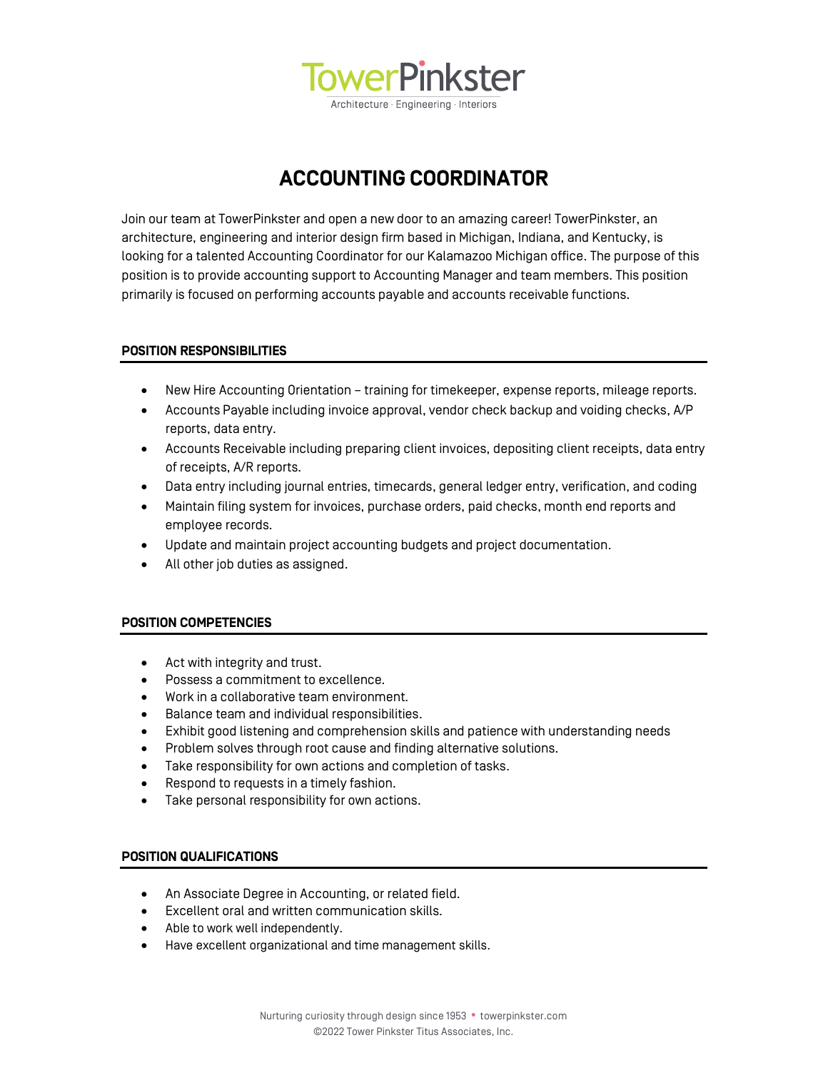

**ACCOUNTING COORDINATOR**

Join our team at TowerPinkster and open a new door to an amazing career! TowerPinkster, an architecture, engineering and interior design firm based in Michigan, Indiana, and Kentucky, is looking for a talented Accounting Coordinator for our Kalamazoo Michigan office. The purpose of this position is to provide accounting support to Accounting Manager and team members. This position primarily is focused on performing accounts payable and accounts receivable functions.

## **POSITION RESPONSIBILITIES**

- New Hire Accounting Orientation training for timekeeper, expense reports, mileage reports.
- Accounts Payable including invoice approval, vendor check backup and voiding checks, A/P reports, data entry.
- Accounts Receivable including preparing client invoices, depositing client receipts, data entry of receipts, A/R reports.
- Data entry including journal entries, timecards, general ledger entry, verification, and coding
- Maintain filing system for invoices, purchase orders, paid checks, month end reports and employee records.
- Update and maintain project accounting budgets and project documentation.
- All other job duties as assigned.

### **POSITION COMPETENCIES**

- Act with integrity and trust.
- Possess a commitment to excellence.
- Work in a collaborative team environment.
- Balance team and individual responsibilities.
- Exhibit good listening and comprehension skills and patience with understanding needs
- Problem solves through root cause and finding alternative solutions.
- Take responsibility for own actions and completion of tasks.
- Respond to requests in a timely fashion.
- Take personal responsibility for own actions.

### **POSITION QUALIFICATIONS**

- An Associate Degree in Accounting, or related field.
- Excellent oral and written communication skills.
- Able to work well independently.
- Have excellent organizational and time management skills.